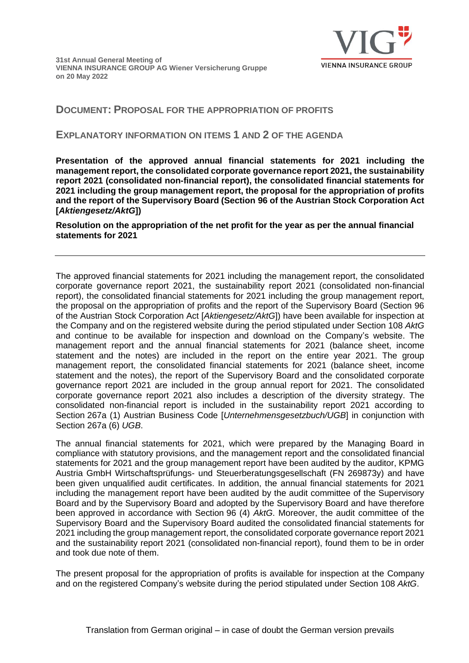# **DOCUMENT: PROPOSAL FOR THE APPROPRIATION OF PROFITS**

## **EXPLANATORY INFORMATION ON ITEMS 1 AND 2 OF THE AGENDA**

**Presentation of the approved annual financial statements for 2021 including the management report, the consolidated corporate governance report 2021, the sustainability report 2021 (consolidated non-financial report), the consolidated financial statements for 2021 including the group management report, the proposal for the appropriation of profits and the report of the Supervisory Board (Section 96 of the Austrian Stock Corporation Act [***Aktiengesetz/AktG***])** 

**Resolution on the appropriation of the net profit for the year as per the annual financial statements for 2021**

The approved financial statements for 2021 including the management report, the consolidated corporate governance report 2021, the sustainability report 2021 (consolidated non-financial report), the consolidated financial statements for 2021 including the group management report, the proposal on the appropriation of profits and the report of the Supervisory Board (Section 96 of the Austrian Stock Corporation Act [*Aktiengesetz/AktG*]) have been available for inspection at the Company and on the registered website during the period stipulated under Section 108 *AktG* and continue to be available for inspection and download on the Company's website. The management report and the annual financial statements for 2021 (balance sheet, income statement and the notes) are included in the report on the entire year 2021. The group management report, the consolidated financial statements for 2021 (balance sheet, income statement and the notes), the report of the Supervisory Board and the consolidated corporate governance report 2021 are included in the group annual report for 2021. The consolidated corporate governance report 2021 also includes a description of the diversity strategy. The consolidated non-financial report is included in the sustainability report 2021 according to Section 267a (1) Austrian Business Code [*Unternehmensgesetzbuch/UGB*] in conjunction with Section 267a (6) *UGB*.

The annual financial statements for 2021, which were prepared by the Managing Board in compliance with statutory provisions, and the management report and the consolidated financial statements for 2021 and the group management report have been audited by the auditor, KPMG Austria GmbH Wirtschaftsprüfungs- und Steuerberatungsgesellschaft (FN 269873y) and have been given unqualified audit certificates. In addition, the annual financial statements for 2021 including the management report have been audited by the audit committee of the Supervisory Board and by the Supervisory Board and adopted by the Supervisory Board and have therefore been approved in accordance with Section 96 (4) *AktG*. Moreover, the audit committee of the Supervisory Board and the Supervisory Board audited the consolidated financial statements for 2021 including the group management report, the consolidated corporate governance report 2021 and the sustainability report 2021 (consolidated non-financial report), found them to be in order and took due note of them.

The present proposal for the appropriation of profits is available for inspection at the Company and on the registered Company's website during the period stipulated under Section 108 *AktG*.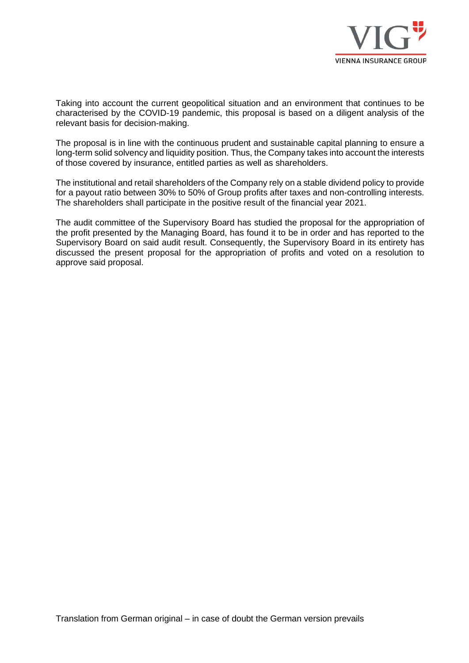

Taking into account the current geopolitical situation and an environment that continues to be characterised by the COVID-19 pandemic, this proposal is based on a diligent analysis of the relevant basis for decision-making.

The proposal is in line with the continuous prudent and sustainable capital planning to ensure a long-term solid solvency and liquidity position. Thus, the Company takes into account the interests of those covered by insurance, entitled parties as well as shareholders.

The institutional and retail shareholders of the Company rely on a stable dividend policy to provide for a payout ratio between 30% to 50% of Group profits after taxes and non-controlling interests. The shareholders shall participate in the positive result of the financial year 2021.

The audit committee of the Supervisory Board has studied the proposal for the appropriation of the profit presented by the Managing Board, has found it to be in order and has reported to the Supervisory Board on said audit result. Consequently, the Supervisory Board in its entirety has discussed the present proposal for the appropriation of profits and voted on a resolution to approve said proposal.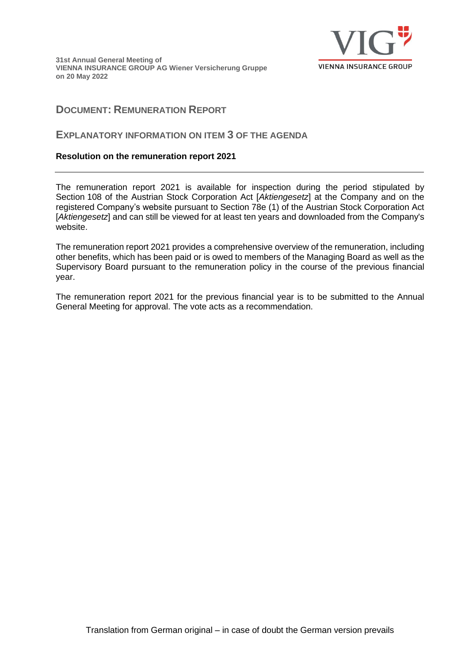**31st Annual General Meeting of VIENNA INSURANCE GROUP AG Wiener Versicherung Gruppe on 20 May 2022**



# **DOCUMENT: REMUNERATION REPORT**

## **EXPLANATORY INFORMATION ON ITEM 3 OF THE AGENDA**

### **Resolution on the remuneration report 2021**

The remuneration report 2021 is available for inspection during the period stipulated by Section 108 of the Austrian Stock Corporation Act [*Aktiengesetz*] at the Company and on the registered Company's website pursuant to Section 78e (1) of the Austrian Stock Corporation Act [*Aktiengesetz*] and can still be viewed for at least ten years and downloaded from the Company's website.

The remuneration report 2021 provides a comprehensive overview of the remuneration, including other benefits, which has been paid or is owed to members of the Managing Board as well as the Supervisory Board pursuant to the remuneration policy in the course of the previous financial year.

The remuneration report 2021 for the previous financial year is to be submitted to the Annual General Meeting for approval. The vote acts as a recommendation.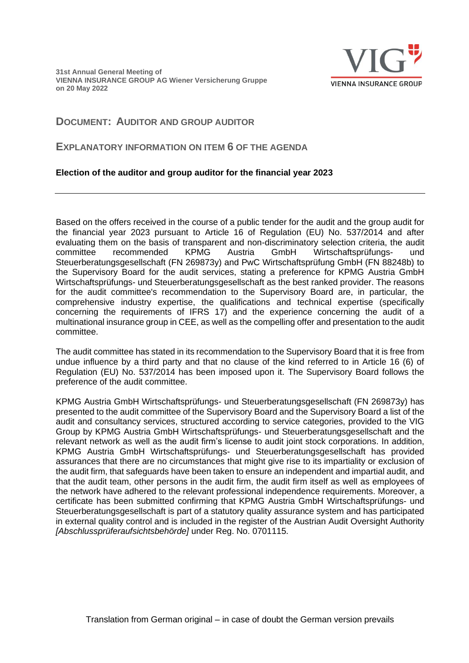

# **DOCUMENT: AUDITOR AND GROUP AUDITOR**

## **EXPLANATORY INFORMATION ON ITEM 6 OF THE AGENDA**

## **Election of the auditor and group auditor for the financial year 2023**

Based on the offers received in the course of a public tender for the audit and the group audit for the financial year 2023 pursuant to Article 16 of Regulation (EU) No. 537/2014 and after evaluating them on the basis of transparent and non-discriminatory selection criteria, the audit committee recommended KPMG Austria GmbH Wirtschaftsprüfungs- und Steuerberatungsgesellschaft (FN 269873y) and PwC Wirtschaftsprüfung GmbH (FN 88248b) to the Supervisory Board for the audit services, stating a preference for KPMG Austria GmbH Wirtschaftsprüfungs- und Steuerberatungsgesellschaft as the best ranked provider. The reasons for the audit committee's recommendation to the Supervisory Board are, in particular, the comprehensive industry expertise, the qualifications and technical expertise (specifically concerning the requirements of IFRS 17) and the experience concerning the audit of a multinational insurance group in CEE, as well as the compelling offer and presentation to the audit committee.

The audit committee has stated in its recommendation to the Supervisory Board that it is free from undue influence by a third party and that no clause of the kind referred to in Article 16 (6) of Regulation (EU) No. 537/2014 has been imposed upon it. The Supervisory Board follows the preference of the audit committee.

KPMG Austria GmbH Wirtschaftsprüfungs- und Steuerberatungsgesellschaft (FN 269873y) has presented to the audit committee of the Supervisory Board and the Supervisory Board a list of the audit and consultancy services, structured according to service categories, provided to the VIG Group by KPMG Austria GmbH Wirtschaftsprüfungs- und Steuerberatungsgesellschaft and the relevant network as well as the audit firm's license to audit joint stock corporations. In addition, KPMG Austria GmbH Wirtschaftsprüfungs- und Steuerberatungsgesellschaft has provided assurances that there are no circumstances that might give rise to its impartiality or exclusion of the audit firm, that safeguards have been taken to ensure an independent and impartial audit, and that the audit team, other persons in the audit firm, the audit firm itself as well as employees of the network have adhered to the relevant professional independence requirements. Moreover, a certificate has been submitted confirming that KPMG Austria GmbH Wirtschaftsprüfungs- und Steuerberatungsgesellschaft is part of a statutory quality assurance system and has participated in external quality control and is included in the register of the Austrian Audit Oversight Authority *[Abschlussprüferaufsichtsbehörde]* under Reg. No. 0701115.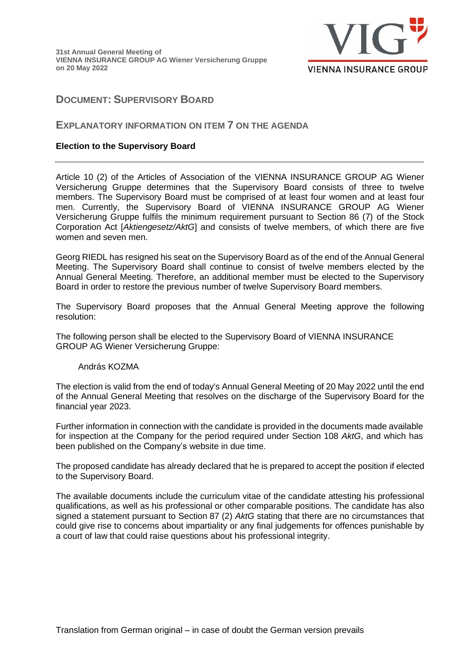

# **DOCUMENT: SUPERVISORY BOARD**

### **EXPLANATORY INFORMATION ON ITEM 7 ON THE AGENDA**

### **Election to the Supervisory Board**

Article 10 (2) of the Articles of Association of the VIENNA INSURANCE GROUP AG Wiener Versicherung Gruppe determines that the Supervisory Board consists of three to twelve members. The Supervisory Board must be comprised of at least four women and at least four men. Currently, the Supervisory Board of VIENNA INSURANCE GROUP AG Wiener Versicherung Gruppe fulfils the minimum requirement pursuant to Section 86 (7) of the Stock Corporation Act [*Aktiengesetz/AktG*] and consists of twelve members, of which there are five women and seven men.

Georg RIEDL has resigned his seat on the Supervisory Board as of the end of the Annual General Meeting. The Supervisory Board shall continue to consist of twelve members elected by the Annual General Meeting. Therefore, an additional member must be elected to the Supervisory Board in order to restore the previous number of twelve Supervisory Board members.

The Supervisory Board proposes that the Annual General Meeting approve the following resolution:

The following person shall be elected to the Supervisory Board of VIENNA INSURANCE GROUP AG Wiener Versicherung Gruppe:

#### András KOZMA

The election is valid from the end of today's Annual General Meeting of 20 May 2022 until the end of the Annual General Meeting that resolves on the discharge of the Supervisory Board for the financial year 2023.

Further information in connection with the candidate is provided in the documents made available for inspection at the Company for the period required under Section 108 *AktG*, and which has been published on the Company's website in due time.

The proposed candidate has already declared that he is prepared to accept the position if elected to the Supervisory Board.

The available documents include the curriculum vitae of the candidate attesting his professional qualifications, as well as his professional or other comparable positions. The candidate has also signed a statement pursuant to Section 87 (2) *AktG* stating that there are no circumstances that could give rise to concerns about impartiality or any final judgements for offences punishable by a court of law that could raise questions about his professional integrity.